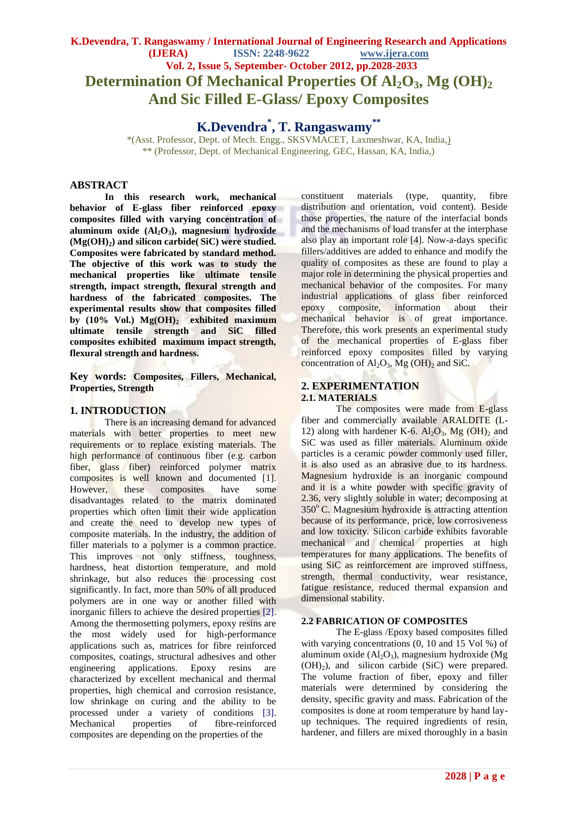# **K.Devendra, T. Rangaswamy / International Journal of Engineering Research and Applications (IJERA) ISSN: 2248-9622 www.ijera.com Vol. 2, Issue 5, September- October 2012, pp.2028-2033 Determination Of Mechanical Properties Of Al2O3, Mg (OH)<sup>2</sup> And Sic Filled E-Glass/ Epoxy Composites**

**K.Devendra\* , T. Rangaswamy\*\***

\*(Asst. Professor, Dept. of Mech. Engg., SKSVMACET, Laxmeshwar, KA, India,) \*\* (Professor, Dept. of Mechanical Engineering, GEC, Hassan, KA, India,)

# **ABSTRACT**

**In this research work, mechanical behavior of E-glass fiber reinforced epoxy composites filled with varying concentration of aluminum oxide (Al2O3), magnesium hydroxide (Mg(OH)2) and silicon carbide( SiC) were studied. Composites were fabricated by standard method. The objective of this work was to study the mechanical properties like ultimate tensile strength, impact strength, flexural strength and hardness of the fabricated composites. The experimental results show that composites filled by (10% Vol.) Mg(OH)<sup>2</sup> exhibited maximum ultimate tensile strength and SiC filled composites exhibited maximum impact strength, flexural strength and hardness.**

### **Key words: Composites, Fillers, Mechanical, Properties, Strength**

### **1. INTRODUCTION**

There is an increasing demand for advanced materials with better properties to meet new requirements or to replace existing materials. The high performance of continuous fiber (e.g. carbon fiber, glass fiber) reinforced polymer matrix composites is well known and documented [1]. However, these composites have some disadvantages related to the matrix dominated properties which often limit their wide application and create the need to develop new types of composite materials. In the industry, the addition of filler materials to a polymer is a common practice. This improves not only stiffness, toughness, hardness, heat distortion temperature, and mold shrinkage, but also reduces the processing cost significantly. In fact, more than 50% of all produced polymers are in one way or another filled with inorganic fillers to achieve the desired properties [2]. Among the thermosetting polymers, epoxy resins are the most widely used for high-performance applications such as, matrices for fibre reinforced composites, coatings, structural adhesives and other engineering applications. Epoxy resins are characterized by excellent mechanical and thermal properties, high chemical and corrosion resistance, low shrinkage on curing and the ability to be processed under a variety of conditions [3]. Mechanical properties of fibre-reinforced composites are depending on the properties of the

constituent materials (type, quantity, fibre distribution and orientation, void content). Beside those properties, the nature of the interfacial bonds and the mechanisms of load transfer at the interphase also play an important role [4]. Now-a-days specific fillers/additives are added to enhance and modify the quality of composites as these are found to play a major role in determining the physical properties and mechanical behavior of the composites. For many industrial applications of glass fiber reinforced epoxy composite, information about their mechanical behavior is of great importance. Therefore, this work presents an experimental study of the mechanical properties of E-glass fiber reinforced epoxy composites filled by varying concentration of  $Al_2O_3$ , Mg (OH)<sub>2</sub> and SiC.

### **2. EXPERIMENTATION 2.1. MATERIALS**

The composites were made from E-glass fiber and commercially available ARALDITE (L-12) along with hardener K-6.  $Al_2O_3$ , Mg  $(OH)_2$  and SiC was used as filler materials. Aluminum oxide particles is a ceramic powder commonly used filler, it is also used as an abrasive due to its hardness. Magnesium hydroxide is an inorganic compound and it is a white powder with specific gravity of 2.36, very slightly soluble in water; decomposing at  $350^{\circ}$  C. Magnesium hydroxide is attracting attention because of its performance, price, low corrosiveness and low toxicity. Silicon carbide exhibits favorable mechanical and chemical properties at high temperatures for many applications. The benefits of using SiC as reinforcement are improved stiffness, strength, thermal conductivity, wear resistance, fatigue resistance, reduced thermal expansion and dimensional stability.

#### **2.2 FABRICATION OF COMPOSITES**

The E-glass /Epoxy based composites filled with varying concentrations  $(0, 10$  and  $15$  Vol %) of aluminum oxide  $(Al_2O_3)$ , magnesium hydroxide  $(Mg)$  $(OH)<sub>2</sub>$ ), and silicon carbide (SiC) were prepared. The volume fraction of fiber, epoxy and filler materials were determined by considering the density, specific gravity and mass. Fabrication of the composites is done at room temperature by hand layup techniques. The required ingredients of resin, hardener, and fillers are mixed thoroughly in a basin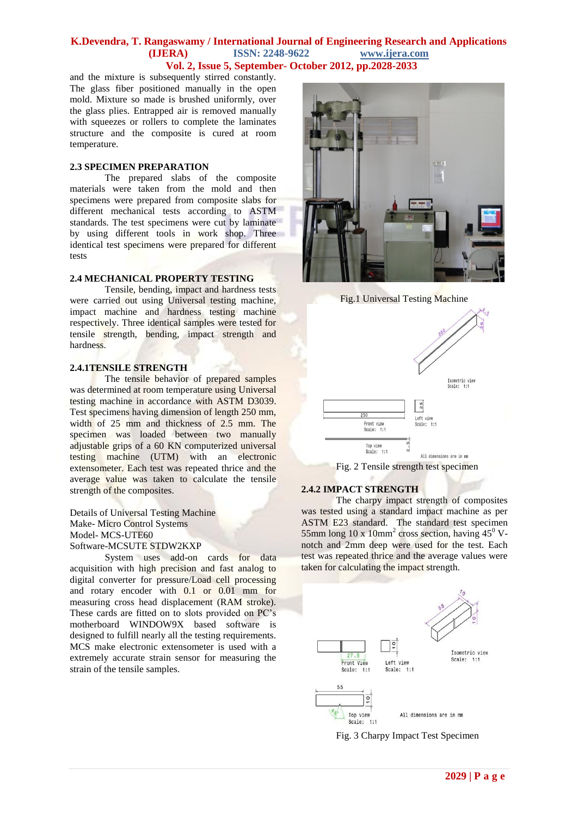### **K.Devendra, T. Rangaswamy / International Journal of Engineering Research and Applications (IJERA) ISSN: 2248-9622 www.ijera.com Vol. 2, Issue 5, September- October 2012, pp.2028-2033**

and the mixture is subsequently stirred constantly. The glass fiber positioned manually in the open mold. Mixture so made is brushed uniformly, over the glass plies. Entrapped air is removed manually with squeezes or rollers to complete the laminates structure and the composite is cured at room temperature.

#### **2.3 SPECIMEN PREPARATION**

The prepared slabs of the composite materials were taken from the mold and then specimens were prepared from composite slabs for different mechanical tests according to ASTM standards. The test specimens were cut by laminate by using different tools in work shop. Three identical test specimens were prepared for different tests

#### **2.4 MECHANICAL PROPERTY TESTING**

Tensile, bending, impact and hardness tests were carried out using Universal testing machine, impact machine and hardness testing machine respectively. Three identical samples were tested for tensile strength, bending, impact strength and hardness.

#### **2.4.1TENSILE STRENGTH**

The tensile behavior of prepared samples was determined at room temperature using Universal testing machine in accordance with ASTM D3039. Test specimens having dimension of length 250 mm, width of 25 mm and thickness of 2.5 mm. The specimen was loaded between two manually adjustable grips of a 60 KN computerized universal testing machine (UTM) with an electronic extensometer. Each test was repeated thrice and the average value was taken to calculate the tensile strength of the composites.

Details of Universal Testing Machine Make- Micro Control Systems Model- MCS-UTE60 Software-MCSUTE STDW2KXP

System uses add-on cards for data acquisition with high precision and fast analog to digital converter for pressure/Load cell processing and rotary encoder with 0.1 or 0.01 mm for measuring cross head displacement (RAM stroke). These cards are fitted on to slots provided on PC's motherboard WINDOW9X based software is designed to fulfill nearly all the testing requirements. MCS make electronic extensometer is used with a extremely accurate strain sensor for measuring the strain of the tensile samples.



Fig.1 Universal Testing Machine



Fig. 2 Tensile strength test specimen

#### **2.4.2 IMPACT STRENGTH**

The charpy impact strength of composites was tested using a standard impact machine as per ASTM E23 standard. The standard test specimen 55mm long 10 x  $10 \text{mm}^2$  cross section, having 45 $^0$  Vnotch and 2mm deep were used for the test. Each test was repeated thrice and the average values were taken for calculating the impact strength.



Fig. 3 Charpy Impact Test Specimen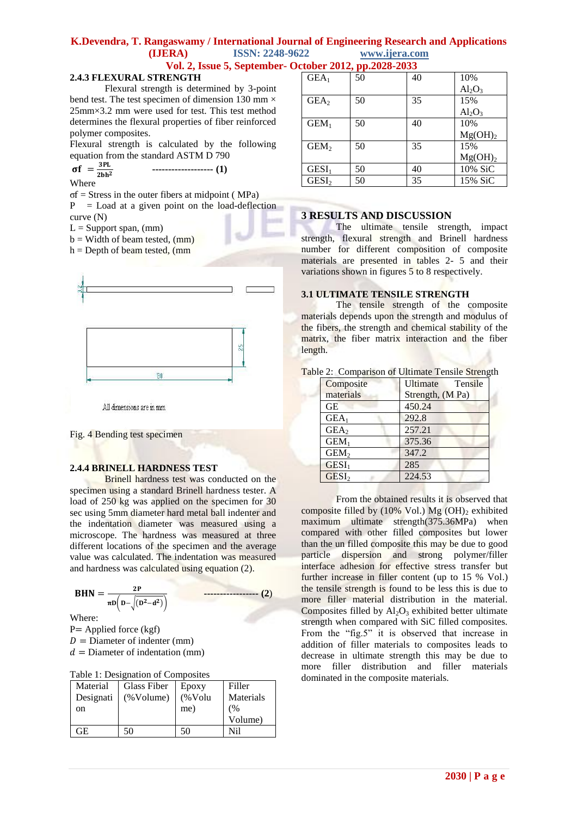# **K.Devendra, T. Rangaswamy / International Journal of Engineering Research and Applications (IJERA) ISSN: 2248-9622 www.ijera.com**

 **Vol. 2, Issue 5, September- October 2012, pp.2028-2033**

#### **2.4.3 FLEXURAL STRENGTH**

Flexural strength is determined by 3-point bend test. The test specimen of dimension 130 mm  $\times$ 25mm×3.2 mm were used for test. This test method determines the flexural properties of fiber reinforced polymer composites.

Flexural strength is calculated by the following equation from the standard ASTM D 790

$$
\sigma f = \frac{3PL}{2bh^2} \qquad \qquad \qquad \text{---}
$$
 (1)

**Where** 

σf = Stress in the outer fibers at midpoint ( MPa)

 $P =$  Load at a given point on the load-deflection curve (N)

 $L =$  Support span, (mm)

 $b = Width of beam tested, (mm)$ 

 $h =$  Depth of beam tested, (mm



All dimensions are in mm

Fig. 4 Bending test specimen

#### **2.4.4 BRINELL HARDNESS TEST**

Brinell hardness test was conducted on the specimen using a standard Brinell hardness tester. A load of 250 kg was applied on the specimen for 30 sec using 5mm diameter hard metal ball indenter and the indentation diameter was measured using a microscope. The hardness was measured at three different locations of the specimen and the average value was calculated. The indentation was measured and hardness was calculated using equation (2).

 = − −  **----------------- (2**)

Where:

P= Applied force (kgf)  $D =$  Diameter of indenter (mm)  $d =$ Diameter of indentation (mm)

|  |  | Table 1: Designation of Composites |
|--|--|------------------------------------|
|  |  |                                    |

| Material  | Glass Fiber | Epoxy      | Filler    |
|-----------|-------------|------------|-----------|
| Designati | (%Volume)   | $(\%$ Volu | Materials |
| on        |             | me)        | (%        |
|           |             |            | Volume)   |
| GF.       | 50          | 50         | Nil       |

| GEA <sub>1</sub> | 50 | 40 | 10%                 |
|------------------|----|----|---------------------|
|                  |    |    | $Al_2O_3$           |
| GEA <sub>2</sub> | 50 | 35 | 15%                 |
|                  |    |    | $Al_2O_3$           |
| GEM <sub>1</sub> | 50 | 40 | 10%                 |
|                  |    |    | Mg(OH) <sub>2</sub> |
| GEM <sub>2</sub> | 50 | 35 | 15%                 |
|                  |    |    | Mg(OH) <sub>2</sub> |
| $GESI1$          | 50 | 40 | 10% SiC             |
| $GESI2$          | 50 | 35 | 15% SiC             |

#### **3 RESULTS AND DISCUSSION**

The ultimate tensile strength, impact strength, flexural strength and Brinell hardness number for different composition of composite materials are presented in tables 2- 5 and their variations shown in figures 5 to 8 respectively.

#### **3.1 ULTIMATE TENSILE STRENGTH**

The tensile strength of the composite materials depends upon the strength and modulus of the fibers, the strength and chemical stability of the matrix, the fiber matrix interaction and the fiber length.

|  | Table 2: Comparison of Ultimate Tensile Strength |  |  |  |
|--|--------------------------------------------------|--|--|--|
|  |                                                  |  |  |  |

| Composite         | Ultimate<br>Tensile |
|-------------------|---------------------|
| materials         | Strength, (M Pa)    |
| <b>GE</b>         | 450.24              |
| $GEA_1$           | 292.8               |
| GEA <sub>2</sub>  | 257.21              |
| GEM <sub>1</sub>  | 375.36              |
| GEM <sub>2</sub>  | 347.2               |
| $GESI_1$          | 285                 |
| GESI <sub>2</sub> | 224.53              |

From the obtained results it is observed that composite filled by  $(10\% \text{ Vol.}) \text{ Mg } (OH)_2$  exhibited maximum ultimate strength(375.36MPa) when compared with other filled composites but lower than the un filled composite this may be due to good particle dispersion and strong polymer/filler interface adhesion for effective stress transfer but further increase in filler content (up to 15 % Vol.) the tensile strength is found to be less this is due to more filler material distribution in the material. Composites filled by  $Al_2O_3$  exhibited better ultimate strength when compared with SiC filled composites. From the "fig.5" it is observed that increase in addition of filler materials to composites leads to decrease in ultimate strength this may be due to more filler distribution and filler materials dominated in the composite materials.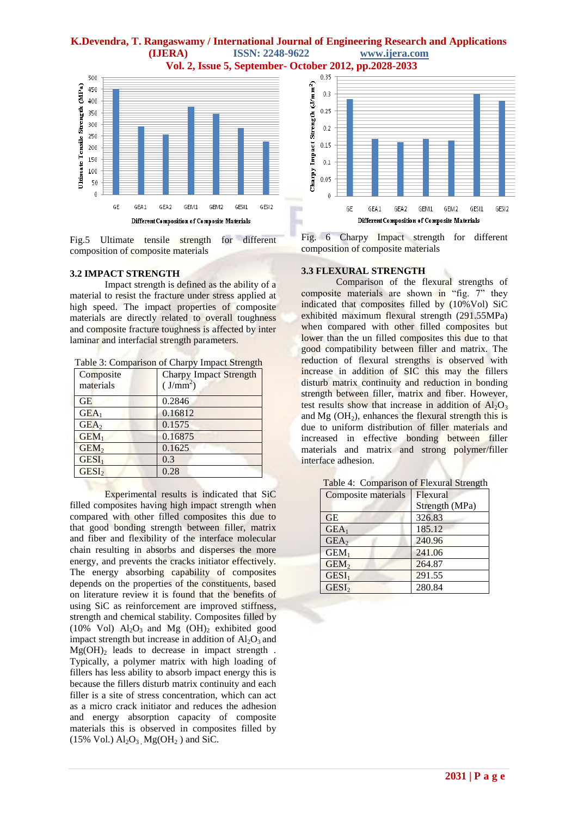# **K.Devendra, T. Rangaswamy / International Journal of Engineering Research and Applications (IJERA) ISSN: 2248-9622 www.ijera.com Vol. 2, Issue 5, September- October 2012, pp.2028-2033**



Fig.5 Ultimate tensile strength for different composition of composite materials

#### **3.2 IMPACT STRENGTH**

Impact strength is defined as the ability of a material to resist the fracture under stress applied at high speed. The impact properties of composite materials are directly related to overall toughness and composite fracture toughness is affected by inter laminar and interfacial strength parameters.

| Table 3: Comparison of Charpy Impact Strength |  |  |
|-----------------------------------------------|--|--|
|                                               |  |  |

| Composite<br>materials | <b>Charpy Impact Strength</b><br>(J/mm <sup>2</sup> ) |
|------------------------|-------------------------------------------------------|
| <b>GE</b>              | 0.2846                                                |
| GEA <sub>1</sub>       | 0.16812                                               |
| GEA <sub>2</sub>       | 0.1575                                                |
| GEM <sub>1</sub>       | 0.16875                                               |
| GEM <sub>2</sub>       | 0.1625                                                |
| $GESI1$                | 0.3                                                   |
| $GESI$                 | 0.28                                                  |

Experimental results is indicated that SiC filled composites having high impact strength when compared with other filled composites this due to that good bonding strength between filler, matrix and fiber and flexibility of the interface molecular chain resulting in absorbs and disperses the more energy, and prevents the cracks initiator effectively. The energy absorbing capability of composites depends on the properties of the constituents, based on literature review it is found that the benefits of using SiC as reinforcement are improved stiffness, strength and chemical stability. Composites filled by (10% Vol)  $Al_2O_3$  and Mg (OH)<sub>2</sub> exhibited good impact strength but increase in addition of  $Al_2O_3$  and  $Mg(OH)$ <sub>2</sub> leads to decrease in impact strength. Typically, a polymer matrix with high loading of fillers has less ability to absorb impact energy this is because the fillers disturb matrix continuity and each filler is a site of stress concentration, which can act as a micro crack initiator and reduces the adhesion and energy absorption capacity of composite materials this is observed in composites filled by (15% Vol.)  $\text{Al}_2\text{O}_3$ ,  $\text{Mg}(\text{OH}_2)$  and SiC.



Fig. 6 Charpy Impact strength for different composition of composite materials

# **3.3 FLEXURAL STRENGTH**

Comparison of the flexural strengths of composite materials are shown in "fig. 7" they indicated that composites filled by (10%Vol) SiC exhibited maximum flexural strength (291.55MPa) when compared with other filled composites but lower than the un filled composites this due to that good compatibility between filler and matrix. The reduction of flexural strengths is observed with increase in addition of SIC this may the fillers disturb matrix continuity and reduction in bonding strength between filler, matrix and fiber. However, test results show that increase in addition of  $Al_2O_3$ and  $Mg$  (OH<sub>2</sub>), enhances the flexural strength this is due to uniform distribution of filler materials and increased in effective bonding between filler materials and matrix and strong polymer/filler interface adhesion.

| Composite materials | Flexural       |
|---------------------|----------------|
|                     | Strength (MPa) |
| <b>GE</b>           | 326.83         |
| GEA <sub>1</sub>    | 185.12         |
| GEA <sub>2</sub>    | 240.96         |
| GEM <sub>1</sub>    | 241.06         |
| GEM <sub>2</sub>    | 264.87         |
| $GESI1$             | 291.55         |
| $GESI$              | 280.84         |

Table 4: Comparison of Flexural Strength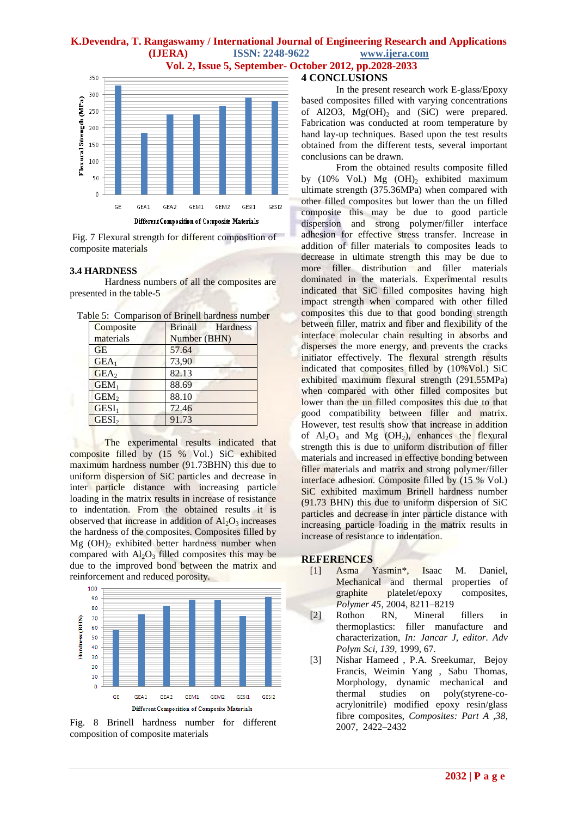# **K.Devendra, T. Rangaswamy / International Journal of Engineering Research and Applications (IJERA) ISSN: 2248-9622 www.ijera.com**

 **Vol. 2, Issue 5, September- October 2012, pp.2028-2033**

#### 350 300 Flexural Strength (MPa) 250 200 150 100 50  $\theta$ GE GEA1 GEA2 GEM1 GEM2 GESI1 GESI2 Different Composition of Composite Materials

Fig. 7 Flexural strength for different composition of composite materials

#### **3.4 HARDNESS**

Hardness numbers of all the composites are presented in the table-5

| Composite         | <b>Brinall</b><br>Hardness |
|-------------------|----------------------------|
| materials         | Number (BHN)               |
| GE                | 57.64                      |
| $GEA_1$           | 73,90                      |
| GEA <sub>2</sub>  | 82.13                      |
| GEM <sub>1</sub>  | 88.69                      |
| GEM <sub>2</sub>  | 88.10                      |
| GESI <sub>1</sub> | 72.46                      |
| GESI <sub>2</sub> | 91.73                      |

Table 5: Comparison of Brinell hardness number

The experimental results indicated that composite filled by (15 % Vol.) SiC exhibited maximum hardness number (91.73BHN) this due to uniform dispersion of SiC particles and decrease in inter particle distance with increasing particle loading in the matrix results in increase of resistance to indentation. From the obtained results it is observed that increase in addition of  $Al<sub>2</sub>O<sub>3</sub>$  increases the hardness of the composites. Composites filled by  $Mg$  (OH)<sub>2</sub> exhibited better hardness number when compared with  $Al_2O_3$  filled composites this may be due to the improved bond between the matrix and reinforcement and reduced porosity.



Fig. 8 Brinell hardness number for different composition of composite materials

# **4 CONCLUSIONS**

In the present research work E-glass/Epoxy based composites filled with varying concentrations of Al2O3,  $Mg(OH)$ <sub>2</sub> and (SiC) were prepared. Fabrication was conducted at room temperature by hand lay-up techniques. Based upon the test results obtained from the different tests, several important conclusions can be drawn.

From the obtained results composite filled by (10% Vol.) Mg  $(OH)_2$  exhibited maximum ultimate strength (375.36MPa) when compared with other filled composites but lower than the un filled composite this may be due to good particle dispersion and strong polymer/filler interface adhesion for effective stress transfer. Increase in addition of filler materials to composites leads to decrease in ultimate strength this may be due to more filler distribution and filler materials dominated in the materials. Experimental results indicated that SiC filled composites having high impact strength when compared with other filled composites this due to that good bonding strength between filler, matrix and fiber and flexibility of the interface molecular chain resulting in absorbs and disperses the more energy, and prevents the cracks initiator effectively. The flexural strength results indicated that composites filled by (10%Vol.) SiC exhibited maximum flexural strength (291.55MPa) when compared with other filled composites but lower than the un filled composites this due to that good compatibility between filler and matrix. However, test results show that increase in addition of  $Al_2O_3$  and Mg (OH<sub>2</sub>), enhances the flexural strength this is due to uniform distribution of filler materials and increased in effective bonding between filler materials and matrix and strong polymer/filler interface adhesion. Composite filled by (15 % Vol.) SiC exhibited maximum Brinell hardness number (91.73 BHN) this due to uniform dispersion of SiC particles and decrease in inter particle distance with increasing particle loading in the matrix results in increase of resistance to indentation.

#### **REFERENCES**

- [1] Asma Yasmin\*, Isaac M. Daniel, Mechanical and thermal properties of graphite platelet/epoxy composites, *Polymer 45*, 2004, 8211–8219
- [2] Rothon RN, Mineral fillers in thermoplastics: filler manufacture and characterization, *In: Jancar J, editor. Adv Polym Sci, 139,* 1999, 67.
- [3] Nishar Hameed , P.A. Sreekumar, Bejoy Francis, Weimin Yang , Sabu Thomas, Morphology, dynamic mechanical and thermal studies on poly(styrene-coacrylonitrile) modified epoxy resin/glass fibre composites, *Composites: Part A ,38,*  2007, 2422–2432